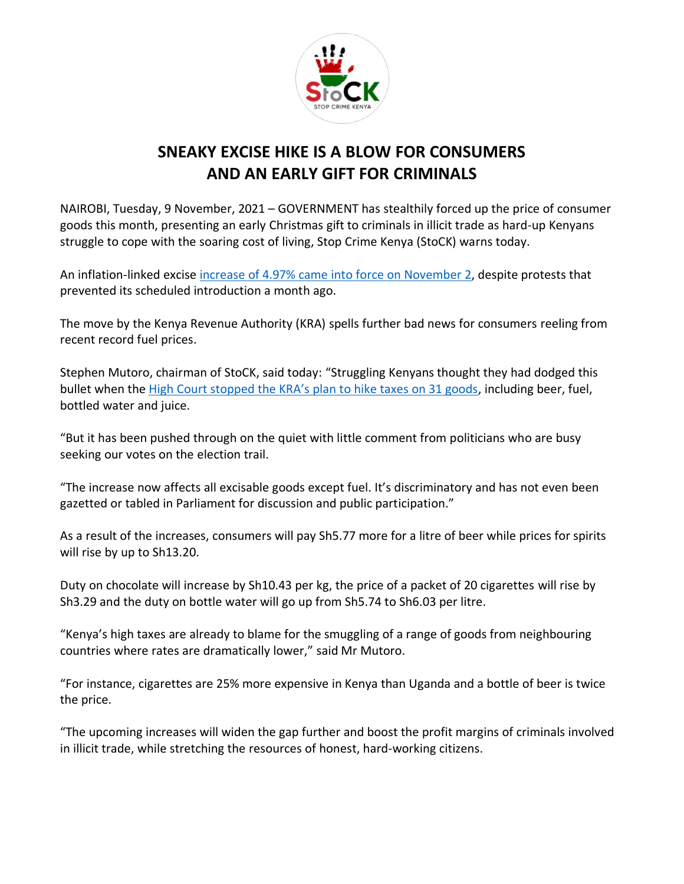

## **SNEAKY EXCISE HIKE IS A BLOW FOR CONSUMERS AND AN EARLY GIFT FOR CRIMINALS**

NAIROBI, Tuesday, 9 November, 2021 – GOVERNMENT has stealthily forced up the price of consumer goods this month, presenting an early Christmas gift to criminals in illicit trade as hard-up Kenyans struggle to cope with the soaring cost of living, Stop Crime Kenya (StoCK) warns today.

An inflation-linked excise increase of 4.97% came [into force on November 2,](https://twitter.com/StopCrimeKenya/status/1457955944512606212?s=20) despite protests that prevented its scheduled introduction a month ago.

The move by the Kenya Revenue Authority (KRA) spells further bad news for consumers reeling from recent record fuel prices.

Stephen Mutoro, chairman of StoCK, said today: "Struggling Kenyans thought they had dodged this bullet when the High Court [stopped the KRA's plan to hike taxes on 31 goods](https://www.businessdailyafrica.com/bd/economy/kra-stopped-from-imposing-new-beer-fuel-taxes-3565214), including beer, fuel, bottled water and juice.

"But it has been pushed through on the quiet with little comment from politicians who are busy seeking our votes on the election trail.

"The increase now affects all excisable goods except fuel. It's discriminatory and has not even been gazetted or tabled in Parliament for discussion and public participation."

As a result of the increases, consumers will pay Sh5.77 more for a litre of beer while prices for spirits will rise by up to Sh13.20.

Duty on chocolate will increase by Sh10.43 per kg, the price of a packet of 20 cigarettes will rise by Sh3.29 and the duty on bottle water will go up from Sh5.74 to Sh6.03 per litre.

"Kenya's high taxes are already to blame for the smuggling of a range of goods from neighbouring countries where rates are dramatically lower," said Mr Mutoro.

"For instance, cigarettes are 25% more expensive in Kenya than Uganda and a bottle of beer is twice the price.

"The upcoming increases will widen the gap further and boost the profit margins of criminals involved in illicit trade, while stretching the resources of honest, hard-working citizens.